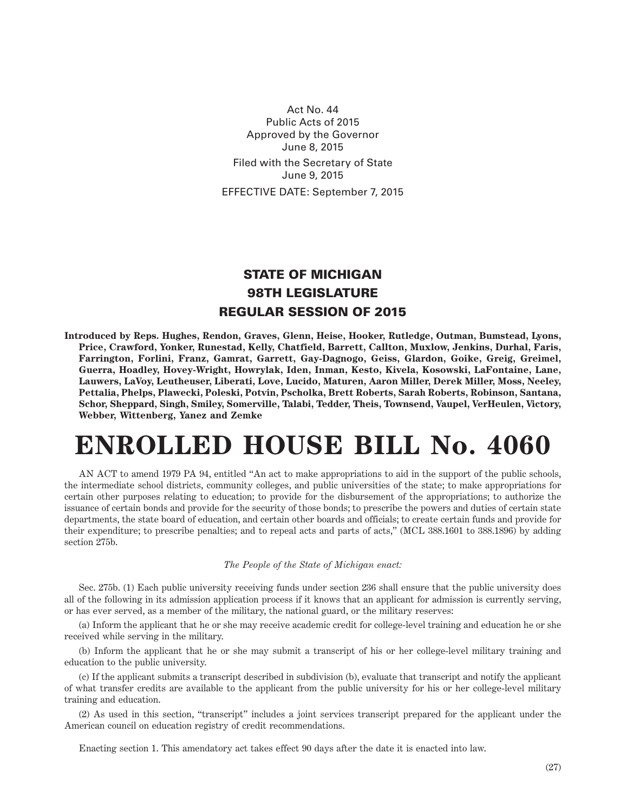Act No. 44 Public Acts of 2015 Approved by the Governor June 8, 2015 Filed with the Secretary of State June 9, 2015 EFFECTIVE DATE: September 7, 2015

## STATE OF MICHIGAN 98TH LEGISLATURE REGULAR SESSION OF 2015

**Introduced by Reps. Hughes, Rendon, Graves, Glenn, Heise, Hooker, Rutledge, Outman, Bumstead, Lyons, Price, Crawford, Yonker, Runestad, Kelly, Chatfield, Barrett, Callton, Muxlow, Jenkins, Durhal, Faris, Farrington, Forlini, Franz, Gamrat, Garrett, Gay-Dagnogo, Geiss, Glardon, Goike, Greig, Greimel, Guerra, Hoadley, Hovey-Wright, Howrylak, Iden, Inman, Kesto, Kivela, Kosowski, LaFontaine, Lane, Lauwers, LaVoy, Leutheuser, Liberati, Love, Lucido, Maturen, Aaron Miller, Derek Miller, Moss, Neeley, Pettalia, Phelps, Plawecki, Poleski, Potvin, Pscholka, Brett Roberts, Sarah Roberts, Robinson, Santana, Schor, Sheppard, Singh, Smiley, Somerville, Talabi, Tedder, Theis, Townsend, Vaupel, VerHeulen, Victory, Webber, Wittenberg, Yanez and Zemke**

## **ENROLLED HOUSE BILL No. 4060**

AN ACT to amend 1979 PA 94, entitled "An act to make appropriations to aid in the support of the public schools, the intermediate school districts, community colleges, and public universities of the state; to make appropriations for certain other purposes relating to education; to provide for the disbursement of the appropriations; to authorize the issuance of certain bonds and provide for the security of those bonds; to prescribe the powers and duties of certain state departments, the state board of education, and certain other boards and officials; to create certain funds and provide for their expenditure; to prescribe penalties; and to repeal acts and parts of acts," (MCL 388.1601 to 388.1896) by adding section 275b.

## *The People of the State of Michigan enact:*

Sec. 275b. (1) Each public university receiving funds under section 236 shall ensure that the public university does all of the following in its admission application process if it knows that an applicant for admission is currently serving, or has ever served, as a member of the military, the national guard, or the military reserves:

(a) Inform the applicant that he or she may receive academic credit for college-level training and education he or she received while serving in the military.

(b) Inform the applicant that he or she may submit a transcript of his or her college-level military training and education to the public university.

(c) If the applicant submits a transcript described in subdivision (b), evaluate that transcript and notify the applicant of what transfer credits are available to the applicant from the public university for his or her college-level military training and education.

(2) As used in this section, "transcript" includes a joint services transcript prepared for the applicant under the American council on education registry of credit recommendations.

Enacting section 1. This amendatory act takes effect 90 days after the date it is enacted into law.